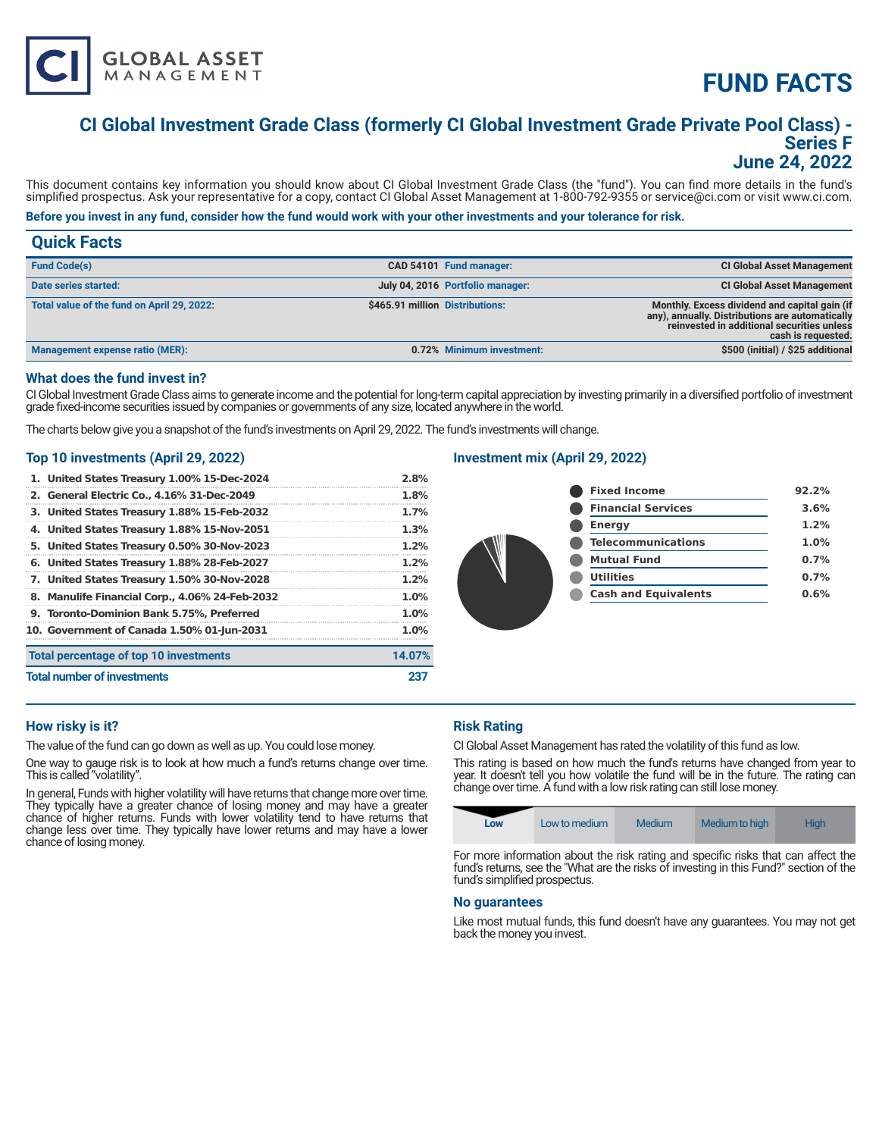# **FUND FACTS**

# **CI Global Investment Grade Class (formerly CI Global Investment Grade Private Pool Class) - Series F June 24, 2022**

This document contains key information you should know about CI Global Investment Grade Class (the "fund"). You can find more details in the fund's simplified prospectus. Ask your representative for a copy, contact CI Global Asset Management at 1-800-792-9355 or service@ci.com or visit www.ci.com.

# **Before you invest in any fund, consider how the fund would work with your other investments and your tolerance for risk.**

| <b>Quick Facts</b>                         |                                 |                                  |                                                                                                                                                                      |
|--------------------------------------------|---------------------------------|----------------------------------|----------------------------------------------------------------------------------------------------------------------------------------------------------------------|
| <b>Fund Code(s)</b>                        |                                 | CAD 54101 Fund manager:          | <b>CI Global Asset Management</b>                                                                                                                                    |
| Date series started:                       |                                 | July 04, 2016 Portfolio manager: | <b>CI Global Asset Management</b>                                                                                                                                    |
| Total value of the fund on April 29, 2022: | \$465.91 million Distributions: |                                  | Monthly. Excess dividend and capital gain (if<br>any), annually. Distributions are automatically<br>reinvested in additional securities unless<br>cash is requested. |
| <b>Management expense ratio (MER):</b>     |                                 | 0.72% Minimum investment:        | \$500 (initial) / \$25 additional                                                                                                                                    |

#### **What does the fund invest in?**

CI Global Investment Grade Class aims to generate income and the potential for long-term capital appreciation by investing primarily in a diversified portfolio of investment grade fixed-income securities issued by companies or governments of any size, located anywhere in the world.

The charts below give you a snapshot of the fund's investments on April 29, 2022. The fund's investments will change.

## **Top 10 investments (April 29, 2022)**

**GLOBAL ASSET**<br>MANAGEMENT

| 1. United States Treasury 1.00% 15-Dec-2024    | 2.8%    |
|------------------------------------------------|---------|
| 2. General Electric Co., 4.16% 31-Dec-2049     | 1.8%    |
| 3. United States Treasury 1.88% 15-Feb-2032    | $1.7\%$ |
| 4. United States Treasury 1.88% 15-Nov-2051    | 1.3%    |
| 5. United States Treasury 0.50% 30-Nov-2023    | $1.2\%$ |
| 6. United States Treasury 1.88% 28-Feb-2027    | $1.2\%$ |
| 7. United States Treasury 1.50% 30-Nov-2028    | $1.2\%$ |
| 8. Manulife Financial Corp., 4.06% 24-Feb-2032 | 1.0%    |
| 9. Toronto-Dominion Bank 5.75%, Preferred      | 1.0%    |
| 10. Government of Canada 1.50% 01-Jun-2031     | 1.0%    |
| Total percentage of top 10 investments         | 14.07%  |
| <b>Total number of investments</b>             | 23.     |

## **Investment mix (April 29, 2022)**

|  | <b>Fixed Income</b>         | 92.2% |
|--|-----------------------------|-------|
|  | <b>Financial Services</b>   | 3.6%  |
|  | <b>Energy</b>               | 1.2%  |
|  | <b>Telecommunications</b>   | 1.0%  |
|  | <b>Mutual Fund</b>          | 0.7%  |
|  | <b>Utilities</b>            | 0.7%  |
|  | <b>Cash and Equivalents</b> | 0.6%  |
|  |                             |       |

#### **How risky is it?**

The value of the fund can go down as well as up. You could lose money.

One way to gauge risk is to look at how much a fund's returns change over time. This is called "volatility".

In general, Funds with higher volatility will have returns that change more over time. They typically have a greater chance of losing money and may have a greater chance of higher returns. Funds with lower volatility tend to have returns that change less over time. They typically have lower returns and may have a lower chance of losing money.

#### **Risk Rating**

CI Global Asset Management has rated the volatility of this fund as low.

This rating is based on how much the fund's returns have changed from year to year. It doesn't tell you how volatile the fund will be in the future. The rating can change over time. A fund with a low risk rating can still lose money.

| Medium to high<br>Medium<br>Low to medium<br>Low | <b>High</b> |  |
|--------------------------------------------------|-------------|--|
|--------------------------------------------------|-------------|--|

For more information about the risk rating and specific risks that can affect the fund's returns, see the "What are the risks of investing in this Fund?" section of the fund's simplified prospectus.

#### **No guarantees**

Like most mutual funds, this fund doesn't have any guarantees. You may not get back the money you invest.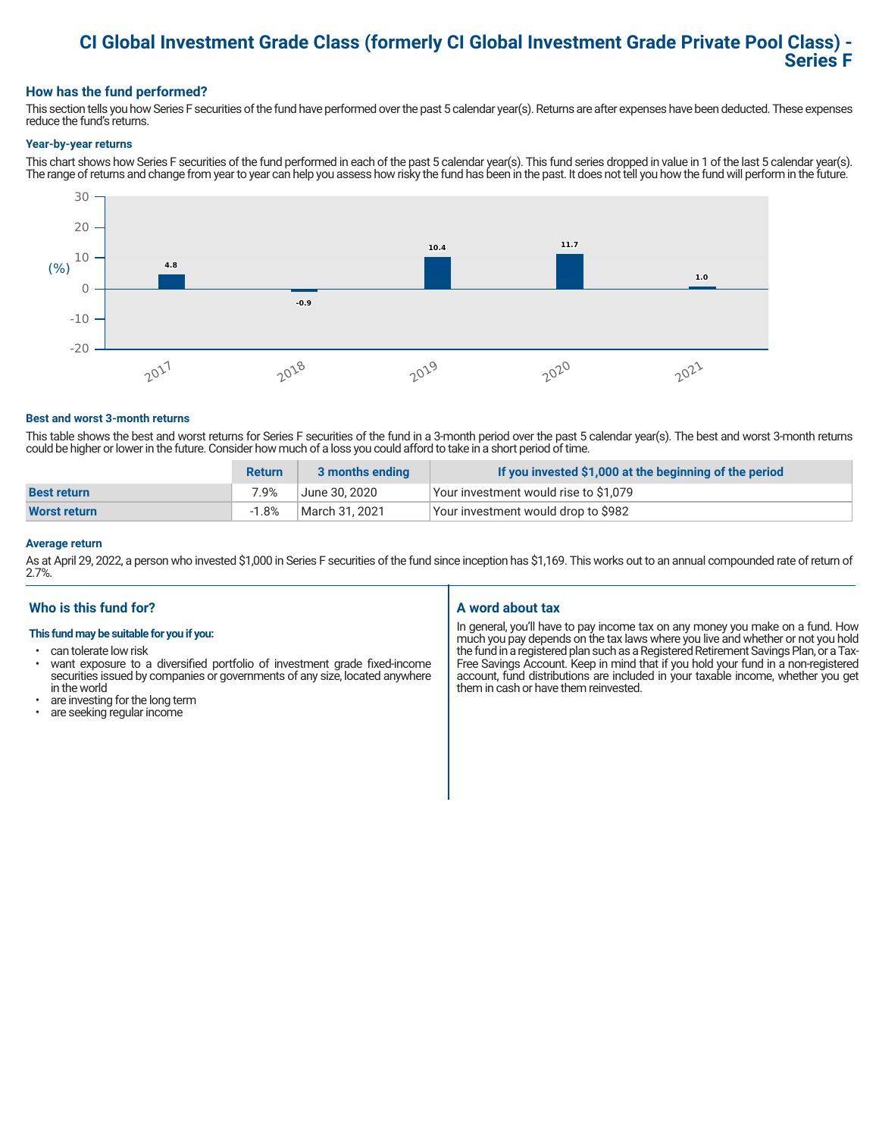# **CI Global Investment Grade Class (formerly CI Global Investment Grade Private Pool Class) - Series F**

# **How has the fund performed?**

This section tells you how Series F securities of the fund have performed over the past 5 calendar year(s). Returns are after expenses have been deducted. These expenses reduce the fund's returns.

#### **Year-by-year returns**

This chart shows how Series F securities of the fund performed in each of the past 5 calendar year(s). This fund series dropped in value in 1 of the last 5 calendar year(s). The range of returns and change from year to year can help you assess how risky the fund has been in the past. It does not tell you how the fund will perform in the future.



#### **Best and worst 3-month returns**

This table shows the best and worst returns for Series F securities of the fund in a 3-month period over the past 5 calendar year(s). The best and worst 3-month returns could be higher or lower in the future. Consider how much of a loss you could afford to take in a short period of time.

|                     | <b>Return</b> | 3 months ending | If you invested \$1,000 at the beginning of the period |
|---------------------|---------------|-----------------|--------------------------------------------------------|
| <b>Best return</b>  | 7.9%          | June 30. 2020   | Your investment would rise to \$1,079                  |
| <b>Worst return</b> | $-1.8%$       | March 31, 2021  | Your investment would drop to \$982                    |

#### **Average return**

As at April 29, 2022, a person who invested \$1,000 in Series F securities of the fund since inception has \$1,169. This works out to an annual compounded rate of return of 2.7%.

# **Who is this fund for?**

## **This fund may be suitable for you if you:**

- can tolerate low risk
- want exposure to a diversified portfolio of investment grade fixed-income securities issued by companies or governments of any size, located anywhere in the world
- are investing for the long term
- are seeking regular income

# **A word about tax**

In general, you'll have to pay income tax on any money you make on a fund. How much you pay depends on the tax laws where you live and whether or not you hold the fund in a registered plan such as a Registered Retirement Savings Plan, or a Tax-Free Savings Account. Keep in mind that if you hold your fund in a non-registered account, fund distributions are included in your taxable income, whether you get them in cash or have them reinvested.